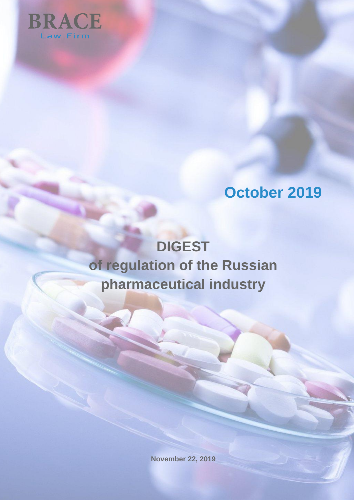

# **Oсtober 2019**

# **DIGEST of regulation of the Russian pharmaceutical industry**

**November 22, 2019**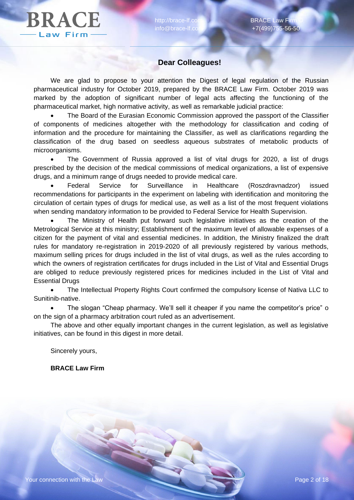# **Dear Colleagues!**

We are glad to propose to your attention the Digest of legal regulation of the Russian pharmaceutical industry for October 2019, prepared by the BRACE Law Firm. October 2019 was marked by the adoption of significant number of legal acts affecting the functioning of the pharmaceutical market, high normative activity, as well as remarkable judicial practice:

 The Board of the Eurasian Economic Commission approved the passport of the Classifier of components of medicines altogether with the methodology for classification and coding of information and the procedure for maintaining the Classifier, as well as clarifications regarding the classification of the drug based on seedless aqueous substrates of metabolic products of microorganisms.

 The Government of Russia approved a list of vital drugs for 2020, a list of drugs prescribed by the decision of the medical commissions of medical organizations, a list of expensive drugs, and a minimum range of drugs needed to provide medical care.

 Federal Service for Surveillance in Healthcare (Roszdravnadzor) issued recommendations for participants in the experiment on labeling with identification and monitoring the circulation of certain types of drugs for medical use, as well as a list of the most frequent violations when sending mandatory information to be provided to Federal Service for Health Supervision.

 The Ministry of Health put forward such legislative initiatives as the creation of the Metrological Service at this ministry; Establishment of the maximum level of allowable expenses of a citizen for the payment of vital and essential medicines. In addition, the Ministry finalized the draft rules for mandatory re-registration in 2019-2020 of all previously registered by various methods, maximum selling prices for drugs included in the list of vital drugs, as well as the rules according to which the owners of registration certificates for drugs included in the List of Vital and Essential Drugs are obliged to reduce previously registered prices for medicines included in the List of Vital and Essential Drugs

 The Intellectual Property Rights Court confirmed the compulsory license of Nativa LLC to Sunitinib-native.

 The slogan "Cheap pharmacy. We'll sell it cheaper if you name the competitor's price" o on the sign of a pharmacy arbitration court ruled as an advertisement.

The above and other equally important changes in the current legislation, as well as legislative initiatives, can be found in this digest in more detail.

Sincerely yours,

**BRACE Law Firm**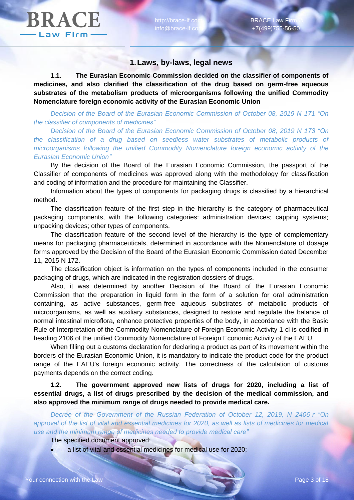### **1.Laws, by-laws, legal news**

**1.1. The Eurasian Economic Commission decided on the classifier of components of medicines, and also clarified the classification of the drug based on germ-free aqueous substrates of the metabolism products of microorganisms following the unified Commodity Nomenclature foreign economic activity of the Eurasian Economic Union**

*Decision of the Board of the Eurasian Economic Commission of October 08, 2019 N 171 "On the classifier of components of medicines"*

*Decision of the Board of the Eurasian Economic Commission of October 08, 2019 N 173 "On the classification of a drug based on seedless water substrates of metabolic products of microorganisms following the unified Commodity Nomenclature foreign economic activity of the Eurasian Economic Union"*

By the decision of the Board of the Eurasian Economic Commission, the passport of the Classifier of components of medicines was approved along with the methodology for classification and coding of information and the procedure for maintaining the Classifier.

Information about the types of components for packaging drugs is classified by a hierarchical method.

The classification feature of the first step in the hierarchy is the category of pharmaceutical packaging components, with the following categories: administration devices; capping systems; unpacking devices; other types of components.

The classification feature of the second level of the hierarchy is the type of complementary means for packaging pharmaceuticals, determined in accordance with the Nomenclature of dosage forms approved by the Decision of the Board of the Eurasian Economic Commission dated December 11, 2015 N 172.

The classification object is information on the types of components included in the consumer packaging of drugs, which are indicated in the registration dossiers of drugs.

Also, it was determined by another Decision of the Board of the Eurasian Economic Commission that the preparation in liquid form in the form of a solution for oral administration containing, as active substances, germ-free aqueous substrates of metabolic products of microorganisms, as well as auxiliary substances, designed to restore and regulate the balance of normal intestinal microflora, enhance protective properties of the body, in accordance with the Basic Rule of Interpretation of the Commodity Nomenclature of Foreign Economic Activity 1 cl is codified in heading 2106 of the unified Commodity Nomenclature of Foreign Economic Activity of the EAEU.

When filling out a customs declaration for declaring a product as part of its movement within the borders of the Eurasian Economic Union, it is mandatory to indicate the product code for the product range of the EAEU's foreign economic activity. The correctness of the calculation of customs payments depends on the correct coding.

**1.2. The government approved new lists of drugs for 2020, including a list of essential drugs, a list of drugs prescribed by the decision of the medical commission, and also approved the minimum range of drugs needed to provide medical care.**

*Decree of the Government of the Russian Federation of October 12, 2019, N 2406-r "On approval of the list of vital and essential medicines for 2020, as well as lists of medicines for medical use and the minimum range of medicines needed to provide medical care"*

The specified document approved:

a list of vital and essential medicines for medical use for 2020;

**BRACE**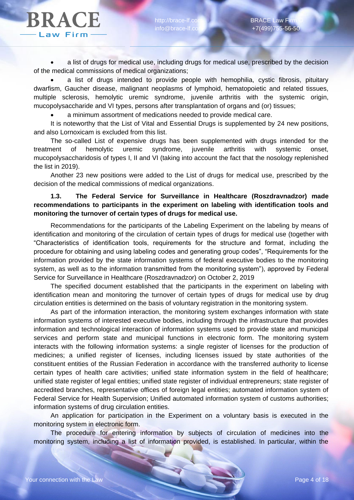a list of drugs for medical use, including drugs for medical use, prescribed by the decision of the medical commissions of medical organizations;

 a list of drugs intended to provide people with hemophilia, cystic fibrosis, pituitary dwarfism, Gaucher disease, malignant neoplasms of lymphoid, hematopoietic and related tissues, multiple sclerosis, hemolytic uremic syndrome, juvenile arthritis with the systemic origin, mucopolysaccharide and VI types, persons after transplantation of organs and (or) tissues;

a minimum assortment of medications needed to provide medical care.

It is noteworthy that the List of Vital and Essential Drugs is supplemented by 24 new positions, and also Lornoxicam is excluded from this list.

The so-called List of expensive drugs has been supplemented with drugs intended for the treatment of hemolytic uremic syndrome, juvenile arthritis with systemic onset, mucopolysaccharidosis of types I, II and VI (taking into account the fact that the nosology replenished the list in 2019).

Another 23 new positions were added to the List of drugs for medical use, prescribed by the decision of the medical commissions of medical organizations.

### **1.3. The Federal Service for Surveillance in Healthcare (Roszdravnadzor) made recommendations to participants in the experiment on labeling with identification tools and monitoring the turnover of certain types of drugs for medical use.**

Recommendations for the participants of the Labeling Experiment on the labeling by means of identification and monitoring of the circulation of certain types of drugs for medical use (together with "Characteristics of identification tools, requirements for the structure and format, including the procedure for obtaining and using labeling codes and generating group codes", "Requirements for the information provided by the state information systems of federal executive bodies to the monitoring system, as well as to the information transmitted from the monitoring system"), approved by Federal Service for Surveillance in Healthcare (Roszdravnadzor) on October 2, 2019

The specified document established that the participants in the experiment on labeling with identification mean and monitoring the turnover of certain types of drugs for medical use by drug circulation entities is determined on the basis of voluntary registration in the monitoring system.

As part of the information interaction, the monitoring system exchanges information with state information systems of interested executive bodies, including through the infrastructure that provides information and technological interaction of information systems used to provide state and municipal services and perform state and municipal functions in electronic form. The monitoring system interacts with the following information systems: a single register of licenses for the production of medicines; a unified register of licenses, including licenses issued by state authorities of the constituent entities of the Russian Federation in accordance with the transferred authority to license certain types of health care activities; unified state information system in the field of healthcare; unified state register of legal entities; unified state register of individual entrepreneurs; state register of accredited branches, representative offices of foreign legal entities; automated information system of Federal Service for Health Supervision; Unified automated information system of customs authorities; information systems of drug circulation entities.

An application for participation in the Experiment on a voluntary basis is executed in the monitoring system in electronic form.

The procedure for entering information by subjects of circulation of medicines into the monitoring system, including a list of information provided, is established. In particular, within the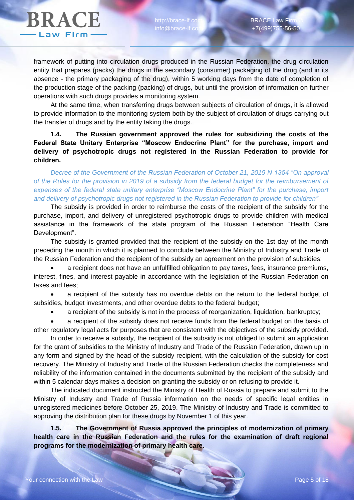http://brace-lf.co info@brace-lf.co

framework of putting into circulation drugs produced in the Russian Federation, the drug circulation entity that prepares (packs) the drugs in the secondary (consumer) packaging of the drug (and in its absence - the primary packaging of the drug), within 5 working days from the date of completion of the production stage of the packing (packing) of drugs, but until the provision of information on further operations with such drugs provides a monitoring system.

At the same time, when transferring drugs between subjects of circulation of drugs, it is allowed to provide information to the monitoring system both by the subject of circulation of drugs carrying out the transfer of drugs and by the entity taking the drugs.

**1.4. The Russian government approved the rules for subsidizing the costs of the Federal State Unitary Enterprise "Moscow Endocrine Plant" for the purchase, import and delivery of psychotropic drugs not registered in the Russian Federation to provide for children.**

*Decree of the Government of the Russian Federation of October 21, 2019 N 1354 "On approval of the Rules for the provision in 2019 of a subsidy from the federal budget for the reimbursement of expenses of the federal state unitary enterprise "Moscow Endocrine Plant" for the purchase, import and delivery of psychotropic drugs not registered in the Russian Federation to provide for children"*

The subsidy is provided in order to reimburse the costs of the recipient of the subsidy for the purchase, import, and delivery of unregistered psychotropic drugs to provide children with medical assistance in the framework of the state program of the Russian Federation "Health Care Development".

The subsidy is granted provided that the recipient of the subsidy on the 1st day of the month preceding the month in which it is planned to conclude between the Ministry of Industry and Trade of the Russian Federation and the recipient of the subsidy an agreement on the provision of subsidies:

 a recipient does not have an unfulfilled obligation to pay taxes, fees, insurance premiums, interest, fines, and interest payable in accordance with the legislation of the Russian Federation on taxes and fees;

 a recipient of the subsidy has no overdue debts on the return to the federal budget of subsidies, budget investments, and other overdue debts to the federal budget;

a recipient of the subsidy is not in the process of reorganization, liquidation, bankruptcy;

 a recipient of the subsidy does not receive funds from the federal budget on the basis of other regulatory legal acts for purposes that are consistent with the objectives of the subsidy provided.

In order to receive a subsidy, the recipient of the subsidy is not obliged to submit an application for the grant of subsidies to the Ministry of Industry and Trade of the Russian Federation, drawn up in any form and signed by the head of the subsidy recipient, with the calculation of the subsidy for cost recovery. The Ministry of Industry and Trade of the Russian Federation checks the completeness and reliability of the information contained in the documents submitted by the recipient of the subsidy and within 5 calendar days makes a decision on granting the subsidy or on refusing to provide it.

The indicated document instructed the Ministry of Health of Russia to prepare and submit to the Ministry of Industry and Trade of Russia information on the needs of specific legal entities in unregistered medicines before October 25, 2019. The Ministry of Industry and Trade is committed to approving the distribution plan for these drugs by November 1 of this year.

**1.5. The Government of Russia approved the principles of modernization of primary health care in the Russian Federation and the rules for the examination of draft regional programs for the modernization of primary health care.**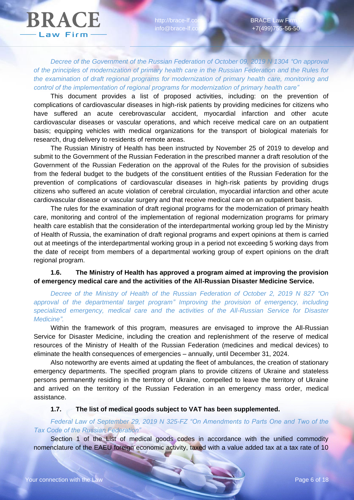http://brace-lf.co info@brace-lf.co

*Decree of the Government of the Russian Federation of October 09, 2019 N 1304 "On approval of the principles of modernization of primary health care in the Russian Federation and the Rules for the examination of draft regional programs for modernization of primary health care, monitoring and control of the implementation of regional programs for modernization of primary health care"*

This document provides a list of proposed activities, including: on the prevention of complications of cardiovascular diseases in high-risk patients by providing medicines for citizens who have suffered an acute cerebrovascular accident, myocardial infarction and other acute cardiovascular diseases or vascular operations, and which receive medical care on an outpatient basis; equipping vehicles with medical organizations for the transport of biological materials for research, drug delivery to residents of remote areas.

The Russian Ministry of Health has been instructed by November 25 of 2019 to develop and submit to the Government of the Russian Federation in the prescribed manner a draft resolution of the Government of the Russian Federation on the approval of the Rules for the provision of subsidies from the federal budget to the budgets of the constituent entities of the Russian Federation for the prevention of complications of cardiovascular diseases in high-risk patients by providing drugs citizens who suffered an acute violation of cerebral circulation, myocardial infarction and other acute cardiovascular disease or vascular surgery and that receive medical care on an outpatient basis.

The rules for the examination of draft regional programs for the modernization of primary health care, monitoring and control of the implementation of regional modernization programs for primary health care establish that the consideration of the interdepartmental working group led by the Ministry of Health of Russia, the examination of draft regional programs and expert opinions at them is carried out at meetings of the interdepartmental working group in a period not exceeding 5 working days from the date of receipt from members of a departmental working group of expert opinions on the draft regional program.

# **1.6. The Ministry of Health has approved a program aimed at improving the provision of emergency medical care and the activities of the All-Russian Disaster Medicine Service.**

*Decree of the Ministry of Health of the Russian Federation of October 2, 2019 N 827 "On approval of the departmental target program" Improving the provision of emergency, including specialized emergency, medical care and the activities of the All-Russian Service for Disaster Medicine".*

Within the framework of this program, measures are envisaged to improve the All-Russian Service for Disaster Medicine, including the creation and replenishment of the reserve of medical resources of the Ministry of Health of the Russian Federation (medicines and medical devices) to eliminate the health consequences of emergencies – annually, until December 31, 2024.

Also noteworthy are events aimed at updating the fleet of ambulances, the creation of stationary emergency departments. The specified program plans to provide citizens of Ukraine and stateless persons permanently residing in the territory of Ukraine, compelled to leave the territory of Ukraine and arrived on the territory of the Russian Federation in an emergency mass order, medical assistance.

#### **1.7. The list of medical goods subject to VAT has been supplemented.**

*Federal Law of September 29, 2019 N 325-FZ "On Amendments to Parts One and Two of the Tax Code of the Russian Federation"*

Section 1 of the List of medical goods codes in accordance with the unified commodity nomenclature of the EAEU foreign economic activity, taxed with a value added tax at a tax rate of 10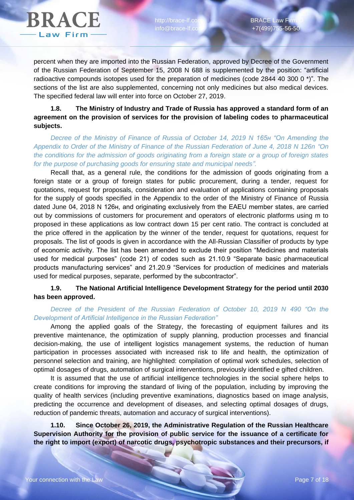

percent when they are imported into the Russian Federation, approved by Decree of the Government of the Russian Federation of September 15, 2008 N 688 is supplemented by the position: "artificial radioactive compounds isotopes used for the preparation of medicines (code 2844 40 300 0 \*)". The sections of the list are also supplemented, concerning not only medicines but also medical devices. The specified federal law will enter into force on October 27, 2019.

### **1.8. The Ministry of Industry and Trade of Russia has approved a standard form of an agreement on the provision of services for the provision of labeling codes to pharmaceutical subjects.**

*Decree of the Ministry of Finance of Russia of October 14, 2019 N 165н "On Amending the Appendix to Order of the Ministry of Finance of the Russian Federation of June 4, 2018 N 126n "On the conditions for the admission of goods originating from a foreign state or a group of foreign states for the purpose of purchasing goods for ensuring state and municipal needs".*

Recall that, as a general rule, the conditions for the admission of goods originating from a foreign state or a group of foreign states for public procurement, during a tender, request for quotations, request for proposals, consideration and evaluation of applications containing proposals for the supply of goods specified in the Appendix to the order of the Ministry of Finance of Russia dated June 04, 2018 N 126н, and originating exclusively from the EAEU member states, are carried out by commissions of customers for procurement and operators of electronic platforms using m to proposed in these applications as low contract down 15 per cent ratio. The contract is concluded at the price offered in the application by the winner of the tender, request for quotations, request for proposals. The list of goods is given in accordance with the All-Russian Classifier of products by type of economic activity. The list has been amended to exclude their position "Medicines and materials used for medical purposes" (code 21) of codes such as 21.10.9 "Separate basic pharmaceutical products manufacturing services" and 21.20.9 "Services for production of medicines and materials used for medical purposes, separate, performed by the subcontractor".

# **1.9. The National Artificial Intelligence Development Strategy for the period until 2030 has been approved.**

#### *Decree of the President of the Russian Federation of October 10, 2019 N 490 "On the Development of Artificial Intelligence in the Russian Federation"*

Among the applied goals of the Strategy, the forecasting of equipment failures and its preventive maintenance, the optimization of supply planning, production processes and financial decision-making, the use of intelligent logistics management systems, the reduction of human participation in processes associated with increased risk to life and health, the optimization of personnel selection and training, are highlighted: compilation of optimal work schedules, selection of optimal dosages of drugs, automation of surgical interventions, previously identified e gifted children.

It is assumed that the use of artificial intelligence technologies in the social sphere helps to create conditions for improving the standard of living of the population, including by improving the quality of health services (including preventive examinations, diagnostics based on image analysis, predicting the occurrence and development of diseases, and selecting optimal dosages of drugs, reduction of pandemic threats, automation and accuracy of surgical interventions).

**1.10. Since October 26, 2019, the Administrative Regulation of the Russian Healthcare Supervision Authority for the provision of public service for the issuance of a certificate for the right to import (export) of narcotic drugs, psychotropic substances and their precursors, if**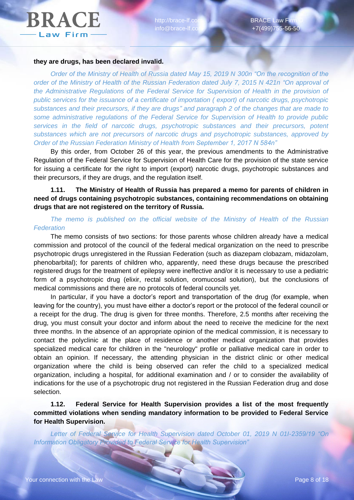http://brace-lf.co info@brace-lf.co

#### **they are drugs, has been declared invalid.**

*Order of the Ministry of Health of Russia dated May 15, 2019 N 300n "On the recognition of the order of the Ministry of Health of the Russian Federation dated July 7, 2015 N 421n "On approval of the Administrative Regulations of the Federal Service for Supervision of Health in the provision of public services for the issuance of a certificate of importation ( export) of narcotic drugs, psychotropic substances and their precursors, if they are drugs" and paragraph 2 of the changes that are made to some administrative regulations of the Federal Service for Supervision of Health to provide public services in the field of narcotic drugs, psychotropic substances and their precursors, potent substances which are not precursors of narcotic drugs and psychotropic substances, approved by Order of the Russian Federation Ministry of Health from September 1, 2017 N 584n"*

By this order, from October 26 of this year, the previous amendments to the Administrative Regulation of the Federal Service for Supervision of Health Care for the provision of the state service for issuing a certificate for the right to import (export) narcotic drugs, psychotropic substances and their precursors, if they are drugs, and the regulation itself.

# **1.11. The Ministry of Health of Russia has prepared a memo for parents of children in need of drugs containing psychotropic substances, containing recommendations on obtaining drugs that are not registered on the territory of Russia.**

*The memo is published on the official website of the Ministry of Health of the Russian Federation*

The memo consists of two sections: for those parents whose children already have a medical commission and protocol of the council of the federal medical organization on the need to prescribe psychotropic drugs unregistered in the Russian Federation (such as diazepam clobazam, midazolam, phenobarbital); for parents of children who, apparently, need these drugs because the prescribed registered drugs for the treatment of epilepsy were ineffective and/or it is necessary to use a pediatric form of a psychotropic drug (elixir, rectal solution, oromucosal solution), but the conclusions of medical commissions and there are no protocols of federal councils yet.

In particular, if you have a doctor's report and transportation of the drug (for example, when leaving for the country), you must have either a doctor's report or the protocol of the federal council or a receipt for the drug. The drug is given for three months. Therefore, 2.5 months after receiving the drug, you must consult your doctor and inform about the need to receive the medicine for the next three months. In the absence of an appropriate opinion of the medical commission, it is necessary to contact the polyclinic at the place of residence or another medical organization that provides specialized medical care for children in the "neurology" profile or palliative medical care in order to obtain an opinion. If necessary, the attending physician in the district clinic or other medical organization where the child is being observed can refer the child to a specialized medical organization, including a hospital, for additional examination and / or to consider the availability of indications for the use of a psychotropic drug not registered in the Russian Federation drug and dose selection.

**1.12. Federal Service for Health Supervision provides a list of the most frequently committed violations when sending mandatory information to be provided to Federal Service for Health Supervision.**

*Letter of Federal Service for Health Supervision dated October 01, 2019 N 01I-2359/19 "On Information Obligatory Provided to Federal Service for Health Supervision"*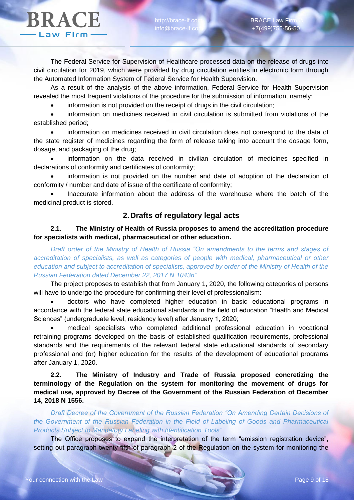http://brace-lf.co info@brace-lf.co

The Federal Service for Supervision of Healthcare processed data on the release of drugs into civil circulation for 2019, which were provided by drug circulation entities in electronic form through the Automated Information System of Federal Service for Health Supervision.

As a result of the analysis of the above information, Federal Service for Health Supervision revealed the most frequent violations of the procedure for the submission of information, namely:

information is not provided on the receipt of drugs in the civil circulation;

 information on medicines received in civil circulation is submitted from violations of the established period;

 information on medicines received in civil circulation does not correspond to the data of the state register of medicines regarding the form of release taking into account the dosage form, dosage, and packaging of the drug;

 information on the data received in civilian circulation of medicines specified in declarations of conformity and certificates of conformity;

 information is not provided on the number and date of adoption of the declaration of conformity / number and date of issue of the certificate of conformity;

 Inaccurate information about the address of the warehouse where the batch of the medicinal product is stored.

# **2.Drafts of regulatory legal acts**

### **2.1. The Ministry of Health of Russia proposes to amend the accreditation procedure for specialists with medical, pharmaceutical or other education.**

*Draft order of the Ministry of Health of Russia "On amendments to the terms and stages of accreditation of specialists, as well as categories of people with medical, pharmaceutical or other education and subject to accreditation of specialists, approved by order of the Ministry of Health of the Russian Federation dated December 22, 2017 N 1043n"*

The project proposes to establish that from January 1, 2020, the following categories of persons will have to undergo the procedure for confirming their level of professionalism:

 doctors who have completed higher education in basic educational programs in accordance with the federal state educational standards in the field of education "Health and Medical Sciences" (undergraduate level, residency level) after January 1, 2020;

 medical specialists who completed additional professional education in vocational retraining programs developed on the basis of established qualification requirements, professional standards and the requirements of the relevant federal state educational standards of secondary professional and (or) higher education for the results of the development of educational programs after January 1, 2020.

**2.2. The Ministry of Industry and Trade of Russia proposed concretizing the terminology of the Regulation on the system for monitoring the movement of drugs for medical use, approved by Decree of the Government of the Russian Federation of December 14, 2018 N 1556.**

*Draft Decree of the Government of the Russian Federation "On Amending Certain Decisions of the Government of the Russian Federation in the Field of Labeling of Goods and Pharmaceutical Products Subject to Mandatory Labeling with Identification Tools"*

The Office proposes to expand the interpretation of the term "emission registration device", setting out paragraph twenty-fifth of paragraph 2 of the Regulation on the system for monitoring the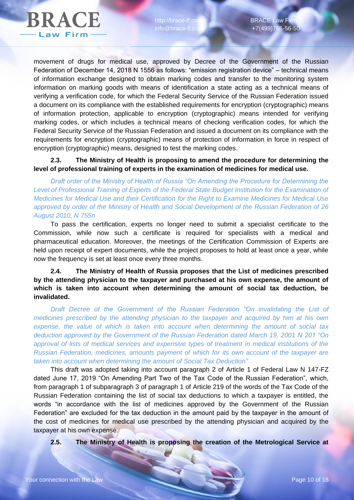

movement of drugs for medical use, approved by Decree of the Government of the Russian Federation of December 14, 2018 N 1556 as follows: "emission registration device" – technical means of information exchange designed to obtain marking codes and transfer to the monitoring system information on marking goods with means of identification a state acting as a technical means of verifying a verification code, for which the Federal Security Service of the Russian Federation issued a document on its compliance with the established requirements for encryption (cryptographic) means of information protection, applicable to encryption (cryptographic) means intended for verifying marking codes, or which includes a technical means of checking verification codes, for which the Federal Security Service of the Russian Federation and issued a document on its compliance with the requirements for encryption (cryptographic) means of protection of information in force in respect of encryption (cryptographic) means, designed to test the marking codes.

### **2.3. The Ministry of Health is proposing to amend the procedure for determining the level of professional training of experts in the examination of medicines for medical use.**

*Draft order of the Ministry of Health of Russia "On Amending the Procedure for Determining the Level of Professional Training of Experts of the Federal State Budget Institution for the Examination of Medicines for Medical Use and their Certification for the Right to Examine Medicines for Medical Use approved by order of the Ministry of Health and Social Development of the Russian Federation of 26 August 2010, N 755n*

To pass the certification, experts no longer need to submit a specialist certificate to the Commission, while now such a certificate is required for specialists with a medical and pharmaceutical education. Moreover, the meetings of the Certification Commission of Experts are held upon receipt of expert documents, while the project proposes to hold at least once a year, while now the frequency is set at least once every three months.

# **2.4. The Ministry of Health of Russia proposes that the List of medicines prescribed by the attending physician to the taxpayer and purchased at his own expense, the amount of which is taken into account when determining the amount of social tax deduction, be invalidated.**

*Draft Decree of the Government of the Russian Federation "On invalidating the List of medicines prescribed by the attending physician to the taxpayer and acquired by him at his own expense, the value of which is taken into account when determining the amount of social tax deduction approved by the Government of the Russian Federation dated March 19, 2001 N 201 "On approval of lists of medical services and expensive types of treatment in medical institutions of the Russian Federation, medicines, amounts payment of which for its own account of the taxpayer are taken into account when determining the amount of Social Tax Deduction"*

This draft was adopted taking into account paragraph 2 of Article 1 of Federal Law N 147-FZ dated June 17, 2019 "On Amending Part Two of the Tax Code of the Russian Federation", which, from paragraph 1 of subparagraph 3 of paragraph 1 of Article 219 of the words of the Tax Code of the Russian Federation containing the list of social tax deductions to which a taxpayer is entitled, the words "in accordance with the list of medicines approved by the Government of the Russian Federation" are excluded for the tax deduction in the amount paid by the taxpayer in the amount of the cost of medicines for medical use prescribed by the attending physician and acquired by the taxpayer at his own expense.

**2.5. The Ministry of Health is proposing the creation of the Metrological Service at**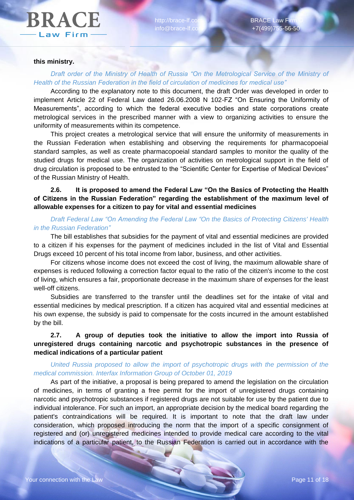http://brace-lf.co info@brace-lf.co

#### **this ministry.**

# *Draft order of the Ministry of Health of Russia "On the Metrological Service of the Ministry of Health of the Russian Federation in the field of circulation of medicines for medical use"*

According to the explanatory note to this document, the draft Order was developed in order to implement Article 22 of Federal Law dated 26.06.2008 N 102-FZ "On Ensuring the Uniformity of Measurements", according to which the federal executive bodies and state corporations create metrological services in the prescribed manner with a view to organizing activities to ensure the uniformity of measurements within its competence.

This project creates a metrological service that will ensure the uniformity of measurements in the Russian Federation when establishing and observing the requirements for pharmacopoeial standard samples, as well as create pharmacopoeial standard samples to monitor the quality of the studied drugs for medical use. The organization of activities on metrological support in the field of drug circulation is proposed to be entrusted to the "Scientific Center for Expertise of Medical Devices" of the Russian Ministry of Health.

# **2.6. It is proposed to amend the Federal Law "On the Basics of Protecting the Health of Citizens in the Russian Federation" regarding the establishment of the maximum level of allowable expenses for a citizen to pay for vital and essential medicines**

#### *Draft Federal Law "On Amending the Federal Law "On the Basics of Protecting Citizens' Health in the Russian Federation"*

The bill establishes that subsidies for the payment of vital and essential medicines are provided to a citizen if his expenses for the payment of medicines included in the list of Vital and Essential Drugs exceed 10 percent of his total income from labor, business, and other activities.

For citizens whose income does not exceed the cost of living, the maximum allowable share of expenses is reduced following a correction factor equal to the ratio of the citizen's income to the cost of living, which ensures a fair, proportionate decrease in the maximum share of expenses for the least well-off citizens.

Subsidies are transferred to the transfer until the deadlines set for the intake of vital and essential medicines by medical prescription. If a citizen has acquired vital and essential medicines at his own expense, the subsidy is paid to compensate for the costs incurred in the amount established by the bill.

# **2.7. A group of deputies took the initiative to allow the import into Russia of unregistered drugs containing narcotic and psychotropic substances in the presence of medical indications of a particular patient**

# *United Russia proposed to allow the import of psychotropic drugs with the permission of the medical commission. Interfax Information Group of October 01, 2019*

As part of the initiative, a proposal is being prepared to amend the legislation on the circulation of medicines, in terms of granting a free permit for the import of unregistered drugs containing narcotic and psychotropic substances if registered drugs are not suitable for use by the patient due to individual intolerance. For such an import, an appropriate decision by the medical board regarding the patient's contraindications will be required. It is important to note that the draft law under consideration, which proposed introducing the norm that the import of a specific consignment of registered and (or) unregistered medicines intended to provide medical care according to the vital indications of a particular patient, to the Russian Federation is carried out in accordance with the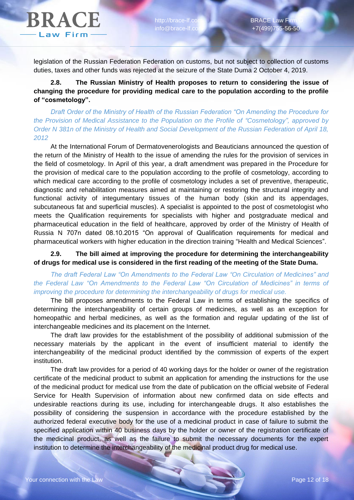http://brace-lf.co info@brace-lf.co

legislation of the Russian Federation Federation on customs, but not subject to collection of customs duties, taxes and other funds was rejected at the seizure of the State Duma 2 October 4, 2019.

**2.8. The Russian Ministry of Health proposes to return to considering the issue of changing the procedure for providing medical care to the population according to the profile of "cosmetology".**

*Draft Order of the Ministry of Health of the Russian Federation "On Amending the Procedure for the Provision of Medical Assistance to the Population on the Profile of "Cosmetology", approved by Order N 381n of the Ministry of Health and Social Development of the Russian Federation of April 18, 2012*

At the International Forum of Dermatovenerologists and Beauticians announced the question of the return of the Ministry of Health to the issue of amending the rules for the provision of services in the field of cosmetology. In April of this year, a draft amendment was prepared in the Procedure for the provision of medical care to the population according to the profile of cosmetology, according to which medical care according to the profile of cosmetology includes a set of preventive, therapeutic, diagnostic and rehabilitation measures aimed at maintaining or restoring the structural integrity and functional activity of integumentary tissues of the human body (skin and its appendages, subcutaneous fat and superficial muscles). A specialist is appointed to the post of cosmetologist who meets the Qualification requirements for specialists with higher and postgraduate medical and pharmaceutical education in the field of healthcare, approved by order of the Ministry of Health of Russia N 707n dated 08.10.2015 "On approval of Qualification requirements for medical and pharmaceutical workers with higher education in the direction training "Health and Medical Sciences".

**2.9. The bill aimed at improving the procedure for determining the interchangeability of drugs for medical use is considered in the first reading of the meeting of the State Duma.**

*The draft Federal Law "On Amendments to the Federal Law "On Circulation of Medicines" and the Federal Law "On Amendments to the Federal Law "On Circulation of Medicines" in terms of improving the procedure for determining the interchangeability of drugs for medical use.*

The bill proposes amendments to the Federal Law in terms of establishing the specifics of determining the interchangeability of certain groups of medicines, as well as an exception for homeopathic and herbal medicines, as well as the formation and regular updating of the list of interchangeable medicines and its placement on the Internet.

The draft law provides for the establishment of the possibility of additional submission of the necessary materials by the applicant in the event of insufficient material to identify the interchangeability of the medicinal product identified by the commission of experts of the expert institution.

The draft law provides for a period of 40 working days for the holder or owner of the registration certificate of the medicinal product to submit an application for amending the instructions for the use of the medicinal product for medical use from the date of publication on the official website of Federal Service for Health Supervision of information about new confirmed data on side effects and undesirable reactions during its use, including for interchangeable drugs. It also establishes the possibility of considering the suspension in accordance with the procedure established by the authorized federal executive body for the use of a medicinal product in case of failure to submit the specified application within 40 business days by the holder or owner of the registration certificate of the medicinal product, as well as the failure to submit the necessary documents for the expert institution to determine the interchangeability of the medicinal product drug for medical use.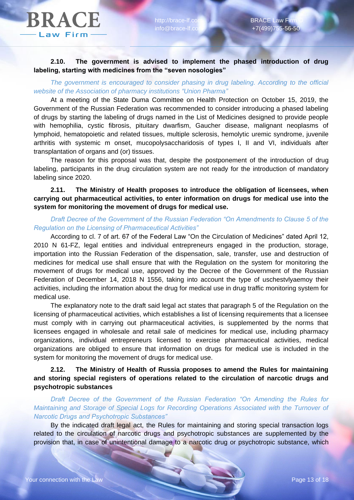#### **2.10. The government is advised to implement the phased introduction of drug labeling, starting with medicines from the "seven nosologies"**

# *The government is encouraged to consider phasing in drug labeling. According to the official website of the Association of pharmacy institutions "Union Pharma"*

At a meeting of the State Duma Committee on Health Protection on October 15, 2019, the Government of the Russian Federation was recommended to consider introducing a phased labeling of drugs by starting the labeling of drugs named in the List of Medicines designed to provide people with hemophilia, cystic fibrosis, pituitary dwarfism, Gaucher disease, malignant neoplasms of lymphoid, hematopoietic and related tissues, multiple sclerosis, hemolytic uremic syndrome, juvenile arthritis with systemic m onset, mucopolysaccharidosis of types I, II and VI, individuals after transplantation of organs and (or) tissues.

The reason for this proposal was that, despite the postponement of the introduction of drug labeling, participants in the drug circulation system are not ready for the introduction of mandatory labeling since 2020.

# **2.11. The Ministry of Health proposes to introduce the obligation of licensees, when carrying out pharmaceutical activities, to enter information on drugs for medical use into the system for monitoring the movement of drugs for medical use.**

# *Draft Decree of the Government of the Russian Federation "On Amendments to Clause 5 of the Regulation on the Licensing of Pharmaceutical Activities"*

According to cl. 7 of art. 67 of the Federal Law "On the Circulation of Medicines" dated April 12, 2010 N 61-FZ, legal entities and individual entrepreneurs engaged in the production, storage, importation into the Russian Federation of the dispensation, sale, transfer, use and destruction of medicines for medical use shall ensure that with the Regulation on the system for monitoring the movement of drugs for medical use, approved by the Decree of the Government of the Russian Federation of December 14, 2018 N 1556, taking into account the type of uschestvlyaemoy their activities, including the information about the drug for medical use in drug traffic monitoring system for medical use.

The explanatory note to the draft said legal act states that paragraph 5 of the Regulation on the licensing of pharmaceutical activities, which establishes a list of licensing requirements that a licensee must comply with in carrying out pharmaceutical activities, is supplemented by the norms that licensees engaged in wholesale and retail sale of medicines for medical use, including pharmacy organizations, individual entrepreneurs licensed to exercise pharmaceutical activities, medical organizations are obliged to ensure that information on drugs for medical use is included in the system for monitoring the movement of drugs for medical use.

# **2.12. The Ministry of Health of Russia proposes to amend the Rules for maintaining and storing special registers of operations related to the circulation of narcotic drugs and psychotropic substances**

*Draft Decree of the Government of the Russian Federation "On Amending the Rules for Maintaining and Storage of Special Logs for Recording Operations Associated with the Turnover of Narcotic Drugs and Psychotropic Substances"*

By the indicated draft legal act, the Rules for maintaining and storing special transaction logs related to the circulation of narcotic drugs and psychotropic substances are supplemented by the provision that, in case of unintentional damage to a narcotic drug or psychotropic substance, which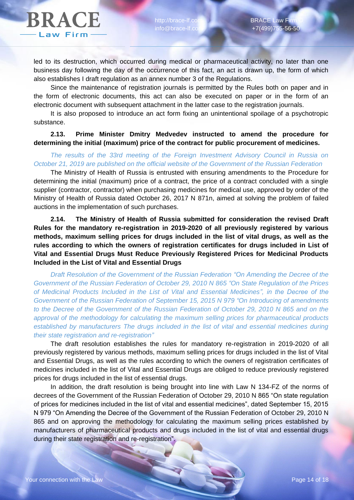led to its destruction, which occurred during medical or pharmaceutical activity, no later than one business day following the day of the occurrence of this fact, an act is drawn up, the form of which also establishes I draft regulation as an annex number 3 of the Regulations.

Since the maintenance of registration journals is permitted by the Rules both on paper and in the form of electronic documents, this act can also be executed on paper or in the form of an electronic document with subsequent attachment in the latter case to the registration journals.

It is also proposed to introduce an act form fixing an unintentional spoilage of a psychotropic substance.

#### **2.13. Prime Minister Dmitry Medvedev instructed to amend the procedure for determining the initial (maximum) price of the contract for public procurement of medicines.**

#### *The results of the 33rd meeting of the Foreign Investment Advisory Council in Russia on October 21, 2019 are published on the official website of the Government of the Russian Federation*

The Ministry of Health of Russia is entrusted with ensuring amendments to the Procedure for determining the initial (maximum) price of a contract, the price of a contract concluded with a single supplier (contractor, contractor) when purchasing medicines for medical use, approved by order of the Ministry of Health of Russia dated October 26, 2017 N 871n, aimed at solving the problem of failed auctions in the implementation of such purchases.

**2.14. The Ministry of Health of Russia submitted for consideration the revised Draft Rules for the mandatory re-registration in 2019-2020 of all previously registered by various methods, maximum selling prices for drugs included in the list of vital drugs, as well as the rules according to which the owners of registration certificates for drugs included in List of Vital and Essential Drugs Must Reduce Previously Registered Prices for Medicinal Products Included in the List of Vital and Essential Drugs**

*Draft Resolution of the Government of the Russian Federation "On Amending the Decree of the Government of the Russian Federation of October 29, 2010 N 865 "On State Regulation of the Prices of Medicinal Products Included in the List of Vital and Essential Medicines", in the Decree of the Government of the Russian Federation of September 15, 2015 N 979 "On Introducing of amendments to the Decree of the Government of the Russian Federation of October 29, 2010 N 865 and on the approval of the methodology for calculating the maximum selling prices for pharmaceutical products established by manufacturers The drugs included in the list of vital and essential medicines during their state registration and re-registration"*

The draft resolution establishes the rules for mandatory re-registration in 2019-2020 of all previously registered by various methods, maximum selling prices for drugs included in the list of Vital and Essential Drugs, as well as the rules according to which the owners of registration certificates of medicines included in the list of Vital and Essential Drugs are obliged to reduce previously registered prices for drugs included in the list of essential drugs.

In addition, the draft resolution is being brought into line with Law N 134-FZ of the norms of decrees of the Government of the Russian Federation of October 29, 2010 N 865 "On state regulation of prices for medicines included in the list of vital and essential medicines", dated September 15, 2015 N 979 "On Amending the Decree of the Government of the Russian Federation of October 29, 2010 N 865 and on approving the methodology for calculating the maximum selling prices established by manufacturers of pharmaceutical products and drugs included in the list of vital and essential drugs during their state registration and re-registration".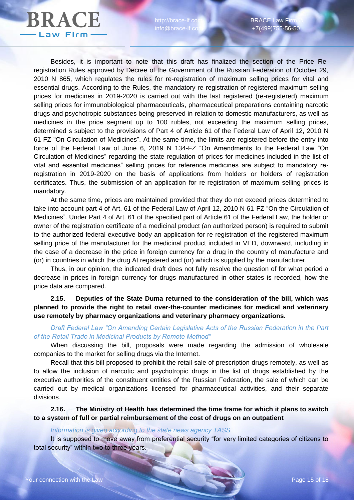http://brace-lf.co info@brace-lf.co

Besides, it is important to note that this draft has finalized the section of the Price Reregistration Rules approved by Decree of the Government of the Russian Federation of October 29, 2010 N 865, which regulates the rules for re-registration of maximum selling prices for vital and essential drugs. According to the Rules, the mandatory re-registration of registered maximum selling prices for medicines in 2019-2020 is carried out with the last registered (re-registered) maximum selling prices for immunobiological pharmaceuticals, pharmaceutical preparations containing narcotic drugs and psychotropic substances being preserved in relation to domestic manufacturers, as well as medicines in the price segment up to 100 rubles, not exceeding the maximum selling prices, determined s subject to the provisions of Part 4 of Article 61 of the Federal Law of April 12, 2010 N 61-FZ "On Circulation of Medicines". At the same time, the limits are registered before the entry into force of the Federal Law of June 6, 2019 N 134-FZ "On Amendments to the Federal Law "On Circulation of Medicines" regarding the state regulation of prices for medicines included in the list of vital and essential medicines" selling prices for reference medicines are subject to mandatory reregistration in 2019-2020 on the basis of applications from holders or holders of registration certificates. Thus, the submission of an application for re-registration of maximum selling prices is mandatory.

At the same time, prices are maintained provided that they do not exceed prices determined to take into account part 4 of Art. 61 of the Federal Law of April 12, 2010 N 61-FZ "On the Circulation of Medicines". Under Part 4 of Art. 61 of the specified part of Article 61 of the Federal Law, the holder or owner of the registration certificate of a medicinal product (an authorized person) is required to submit to the authorized federal executive body an application for re-registration of the registered maximum selling price of the manufacturer for the medicinal product included in VED, downward, including in the case of a decrease in the price in foreign currency for a drug in the country of manufacture and (or) in countries in which the drug At registered and (or) which is supplied by the manufacturer.

Thus, in our opinion, the indicated draft does not fully resolve the question of for what period a decrease in prices in foreign currency for drugs manufactured in other states is recorded, how the price data are compared.

**2.15. Deputies of the State Duma returned to the consideration of the bill, which was planned to provide the right to retail over-the-counter medicines for medical and veterinary use remotely by pharmacy organizations and veterinary pharmacy organizations.**

*Draft Federal Law "On Amending Certain Legislative Acts of the Russian Federation in the Part of the Retail Trade in Medicinal Products by Remote Method"*

When discussing the bill, proposals were made regarding the admission of wholesale companies to the market for selling drugs via the Internet.

Recall that this bill proposed to prohibit the retail sale of prescription drugs remotely, as well as to allow the inclusion of narcotic and psychotropic drugs in the list of drugs established by the executive authorities of the constituent entities of the Russian Federation, the sale of which can be carried out by medical organizations licensed for pharmaceutical activities, and their separate divisions.

**2.16. The Ministry of Health has determined the time frame for which it plans to switch to a system of full or partial reimbursement of the cost of drugs on an outpatient**

#### *Information is given according to the state news agency TASS*

It is supposed to move away from preferential security "for very limited categories of citizens to total security" within two to three years.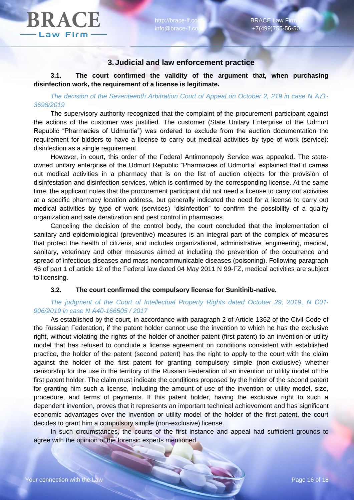

### **3.Judicial and law enforcement practice**

**3.1. The court confirmed the validity of the argument that, when purchasing disinfection work, the requirement of a license is legitimate.**

*The decision of the Seventeenth Arbitration Court of Appeal on October 2, 219 in case N A71- 3698/2019*

The supervisory authority recognized that the complaint of the procurement participant against the actions of the customer was justified. The customer (State Unitary Enterprise of the Udmurt Republic "Pharmacies of Udmurtia") was ordered to exclude from the auction documentation the requirement for bidders to have a license to carry out medical activities by type of work (service): disinfection as a single requirement.

However, in court, this order of the Federal Antimonopoly Service was appealed. The stateowned unitary enterprise of the Udmurt Republic "Pharmacies of Udmurtia" explained that it carries out medical activities in a pharmacy that is on the list of auction objects for the provision of disinfestation and disinfection services, which is confirmed by the corresponding license. At the same time, the applicant notes that the procurement participant did not need a license to carry out activities at a specific pharmacy location address, but generally indicated the need for a license to carry out medical activities by type of work (services) "disinfection" to confirm the possibility of a quality organization and safe deratization and pest control in pharmacies.

Canceling the decision of the control body, the court concluded that the implementation of sanitary and epidemiological (preventive) measures is an integral part of the complex of measures that protect the health of citizens, and includes organizational, administrative, engineering, medical, sanitary, veterinary and other measures aimed at including the prevention of the occurrence and spread of infectious diseases and mass noncommunicable diseases (poisoning). Following paragraph 46 of part 1 of article 12 of the Federal law dated 04 May 2011 N 99-FZ, medical activities are subject to licensing.

#### **3.2. The court confirmed the compulsory license for Sunitinib-native.**

#### *The judgment of the Court of Intellectual Property Rights dated October 29, 2019, N С01- 906/2019 in case N А40-166505 / 2017*

As established by the court, in accordance with paragraph 2 of Article 1362 of the Civil Code of the Russian Federation, if the patent holder cannot use the invention to which he has the exclusive right, without violating the rights of the holder of another patent (first patent) to an invention or utility model that has refused to conclude a license agreement on conditions consistent with established practice, the holder of the patent (second patent) has the right to apply to the court with the claim against the holder of the first patent for granting compulsory simple (non-exclusive) whether censorship for the use in the territory of the Russian Federation of an invention or utility model of the first patent holder. The claim must indicate the conditions proposed by the holder of the second patent for granting him such a license, including the amount of use of the invention or utility model, size, procedure, and terms of payments. If this patent holder, having the exclusive right to such a dependent invention, proves that it represents an important technical achievement and has significant economic advantages over the invention or utility model of the holder of the first patent, the court decides to grant him a compulsory simple (non-exclusive) license.

In such circumstances, the courts of the first instance and appeal had sufficient grounds to agree with the opinion of the forensic experts mentioned.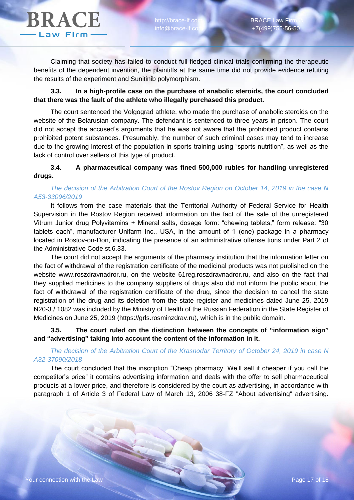

Claiming that society has failed to conduct full-fledged clinical trials confirming the therapeutic benefits of the dependent invention, the plaintiffs at the same time did not provide evidence refuting the results of the experiment and Sunitinib polymorphism.

### **3.3. In a high-profile case on the purchase of anabolic steroids, the court concluded that there was the fault of the athlete who illegally purchased this product.**

The court sentenced the Volgograd athlete, who made the purchase of anabolic steroids on the website of the Belarusian company. The defendant is sentenced to three years in prison. The court did not accept the accused's arguments that he was not aware that the prohibited product contains prohibited potent substances. Presumably, the number of such criminal cases may tend to increase due to the growing interest of the population in sports training using "sports nutrition", as well as the lack of control over sellers of this type of product.

# **3.4. A pharmaceutical company was fined 500,000 rubles for handling unregistered drugs.**

# *The decision of the Arbitration Court of the Rostov Region on October 14, 2019 in the case N A53-33096/2019*

It follows from the case materials that the Territorial Authority of Federal Service for Health Supervision in the Rostov Region received information on the fact of the sale of the unregistered Vitrum Junior drug Polyvitamins + Mineral salts, dosage form: "chewing tablets," form release: "30 tablets each", manufacturer Unifarm Inc., USA, in the amount of 1 (one) package in a pharmacy located in Rostov-on-Don, indicating the presence of an administrative offense tions under Part 2 of the Administrative Code st.6.33.

The court did not accept the arguments of the pharmacy institution that the information letter on the fact of withdrawal of the registration certificate of the medicinal products was not published on the website www.roszdravnadror.ru, on the website 61reg.roszdravnadror.ru, and also on the fact that they supplied medicines to the company suppliers of drugs also did not inform the public about the fact of withdrawal of the registration certificate of the drug, since the decision to cancel the state registration of the drug and its deletion from the state register and medicines dated June 25, 2019 N20-3 / 1082 was included by the Ministry of Health of the Russian Federation in the State Register of Medicines on June 25, 2019 (https://grls.rosminzdrav.ru), which is in the public domain.

**3.5. The court ruled on the distinction between the concepts of "information sign" and "advertising" taking into account the content of the information in it.**

#### *The decision of the Arbitration Court of the Krasnodar Territory of October 24, 2019 in case N A32-37090/2018*

The court concluded that the inscription "Cheap pharmacy. We'll sell it cheaper if you call the competitor's price" it contains advertising information and deals with the offer to sell pharmaceutical products at a lower price, and therefore is considered by the court as advertising, in accordance with paragraph 1 of Article 3 of Federal Law of March 13, 2006 38-FZ "About advertising" advertising.